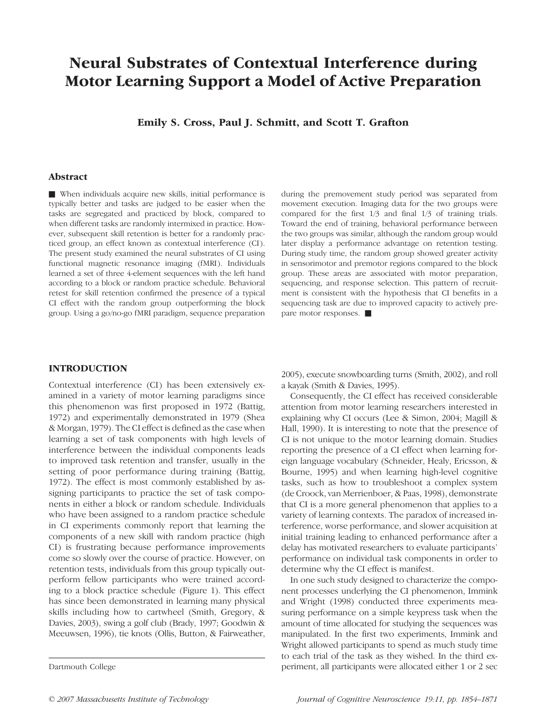# Neural Substrates of Contextual Interference during Motor Learning Support a Model of Active Preparation

Emily S. Cross, Paul J. Schmitt, and Scott T. Grafton

## Abstract

& When individuals acquire new skills, initial performance is typically better and tasks are judged to be easier when the tasks are segregated and practiced by block, compared to when different tasks are randomly intermixed in practice. However, subsequent skill retention is better for a randomly practiced group, an effect known as contextual interference (CI). The present study examined the neural substrates of CI using functional magnetic resonance imaging (fMRI). Individuals learned a set of three 4-element sequences with the left hand according to a block or random practice schedule. Behavioral retest for skill retention confirmed the presence of a typical CI effect with the random group outperforming the block group. Using a go/no-go fMRI paradigm, sequence preparation during the premovement study period was separated from movement execution. Imaging data for the two groups were compared for the first 1/3 and final 1/3 of training trials. Toward the end of training, behavioral performance between the two groups was similar, although the random group would later display a performance advantage on retention testing. During study time, the random group showed greater activity in sensorimotor and premotor regions compared to the block group. These areas are associated with motor preparation, sequencing, and response selection. This pattern of recruitment is consistent with the hypothesis that CI benefits in a sequencing task are due to improved capacity to actively prepare motor responses.  $\blacksquare$ 

# INTRODUCTION

Contextual interference (CI) has been extensively examined in a variety of motor learning paradigms since this phenomenon was first proposed in 1972 (Battig, 1972) and experimentally demonstrated in 1979 (Shea & Morgan, 1979). The CI effect is defined as the case when learning a set of task components with high levels of interference between the individual components leads to improved task retention and transfer, usually in the setting of poor performance during training (Battig, 1972). The effect is most commonly established by assigning participants to practice the set of task components in either a block or random schedule. Individuals who have been assigned to a random practice schedule in CI experiments commonly report that learning the components of a new skill with random practice (high CI) is frustrating because performance improvements come so slowly over the course of practice. However, on retention tests, individuals from this group typically outperform fellow participants who were trained according to a block practice schedule (Figure 1). This effect has since been demonstrated in learning many physical skills including how to cartwheel (Smith, Gregory, & Davies, 2003), swing a golf club (Brady, 1997; Goodwin & Meeuwsen, 1996), tie knots (Ollis, Button, & Fairweather,

2005), execute snowboarding turns (Smith, 2002), and roll a kayak (Smith & Davies, 1995).

Consequently, the CI effect has received considerable attention from motor learning researchers interested in explaining why CI occurs (Lee & Simon, 2004; Magill & Hall, 1990). It is interesting to note that the presence of CI is not unique to the motor learning domain. Studies reporting the presence of a CI effect when learning foreign language vocabulary (Schneider, Healy, Ericsson, & Bourne, 1995) and when learning high-level cognitive tasks, such as how to troubleshoot a complex system (de Croock, van Merrienboer, & Paas, 1998), demonstrate that CI is a more general phenomenon that applies to a variety of learning contexts. The paradox of increased interference, worse performance, and slower acquisition at initial training leading to enhanced performance after a delay has motivated researchers to evaluate participants' performance on individual task components in order to determine why the CI effect is manifest.

In one such study designed to characterize the component processes underlying the CI phenomenon, Immink and Wright (1998) conducted three experiments measuring performance on a simple keypress task when the amount of time allocated for studying the sequences was manipulated. In the first two experiments, Immink and Wright allowed participants to spend as much study time to each trial of the task as they wished. In the third ex-Dartmouth College **periment**, all participants were allocated either 1 or 2 sec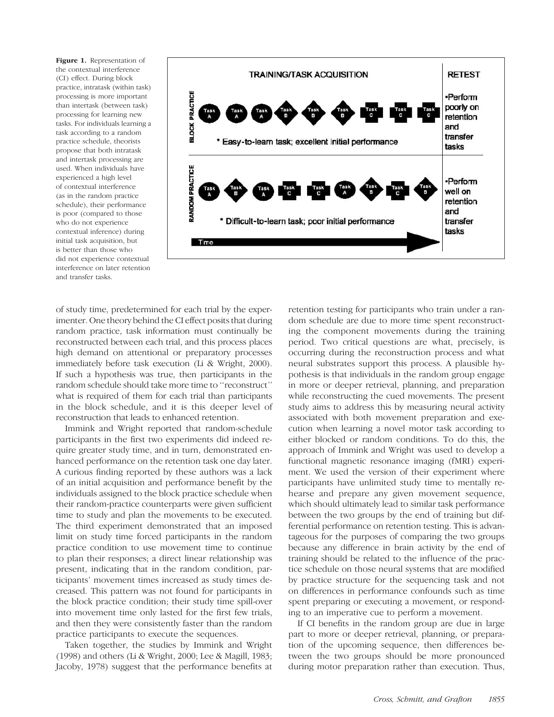Figure 1. Representation of the contextual interference (CI) effect. During block practice, intratask (within task) processing is more important than intertask (between task) processing for learning new tasks. For individuals learning a task according to a random practice schedule, theorists propose that both intratask and intertask processing are used. When individuals have experienced a high level of contextual interference (as in the random practice schedule), their performance is poor (compared to those who do not experience contextual inference) during initial task acquisition, but is better than those who did not experience contextual interference on later retention and transfer tasks.



of study time, predetermined for each trial by the experimenter. One theory behind the CI effect posits that during random practice, task information must continually be reconstructed between each trial, and this process places high demand on attentional or preparatory processes immediately before task execution (Li & Wright, 2000). If such a hypothesis was true, then participants in the random schedule should take more time to ''reconstruct'' what is required of them for each trial than participants in the block schedule, and it is this deeper level of reconstruction that leads to enhanced retention.

Immink and Wright reported that random-schedule participants in the first two experiments did indeed require greater study time, and in turn, demonstrated enhanced performance on the retention task one day later. A curious finding reported by these authors was a lack of an initial acquisition and performance benefit by the individuals assigned to the block practice schedule when their random-practice counterparts were given sufficient time to study and plan the movements to be executed. The third experiment demonstrated that an imposed limit on study time forced participants in the random practice condition to use movement time to continue to plan their responses; a direct linear relationship was present, indicating that in the random condition, participants' movement times increased as study times decreased. This pattern was not found for participants in the block practice condition; their study time spill-over into movement time only lasted for the first few trials, and then they were consistently faster than the random practice participants to execute the sequences.

Taken together, the studies by Immink and Wright (1998) and others (Li & Wright, 2000; Lee & Magill, 1983; Jacoby, 1978) suggest that the performance benefits at

retention testing for participants who train under a random schedule are due to more time spent reconstructing the component movements during the training period. Two critical questions are what, precisely, is occurring during the reconstruction process and what neural substrates support this process. A plausible hypothesis is that individuals in the random group engage in more or deeper retrieval, planning, and preparation while reconstructing the cued movements. The present study aims to address this by measuring neural activity associated with both movement preparation and execution when learning a novel motor task according to either blocked or random conditions. To do this, the approach of Immink and Wright was used to develop a functional magnetic resonance imaging (fMRI) experiment. We used the version of their experiment where participants have unlimited study time to mentally rehearse and prepare any given movement sequence, which should ultimately lead to similar task performance between the two groups by the end of training but differential performance on retention testing. This is advantageous for the purposes of comparing the two groups because any difference in brain activity by the end of training should be related to the influence of the practice schedule on those neural systems that are modified by practice structure for the sequencing task and not on differences in performance confounds such as time spent preparing or executing a movement, or responding to an imperative cue to perform a movement.

If CI benefits in the random group are due in large part to more or deeper retrieval, planning, or preparation of the upcoming sequence, then differences between the two groups should be more pronounced during motor preparation rather than execution. Thus,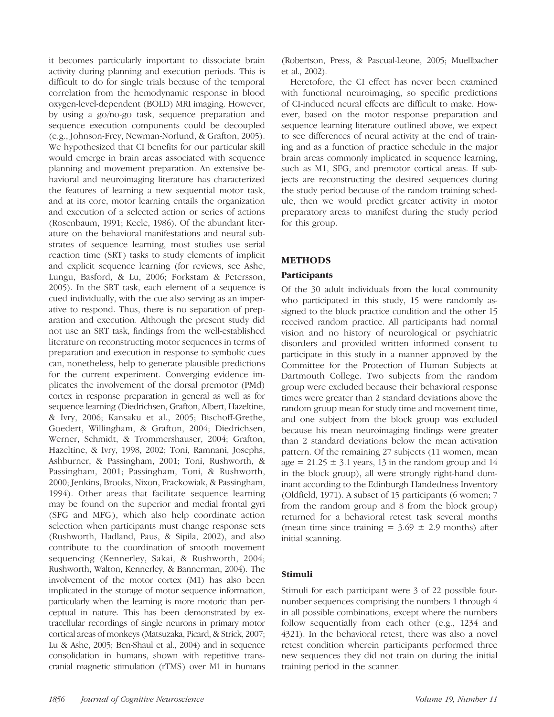it becomes particularly important to dissociate brain activity during planning and execution periods. This is difficult to do for single trials because of the temporal correlation from the hemodynamic response in blood oxygen-level-dependent (BOLD) MRI imaging. However, by using a go/no-go task, sequence preparation and sequence execution components could be decoupled (e.g., Johnson-Frey, Newman-Norlund, & Grafton, 2005). We hypothesized that CI benefits for our particular skill would emerge in brain areas associated with sequence planning and movement preparation. An extensive behavioral and neuroimaging literature has characterized the features of learning a new sequential motor task, and at its core, motor learning entails the organization and execution of a selected action or series of actions (Rosenbaum, 1991; Keele, 1986). Of the abundant literature on the behavioral manifestations and neural substrates of sequence learning, most studies use serial reaction time (SRT) tasks to study elements of implicit and explicit sequence learning (for reviews, see Ashe, Lungu, Basford, & Lu, 2006; Forkstam & Petersson, 2005). In the SRT task, each element of a sequence is cued individually, with the cue also serving as an imperative to respond. Thus, there is no separation of preparation and execution. Although the present study did not use an SRT task, findings from the well-established literature on reconstructing motor sequences in terms of preparation and execution in response to symbolic cues can, nonetheless, help to generate plausible predictions for the current experiment. Converging evidence implicates the involvement of the dorsal premotor (PMd) cortex in response preparation in general as well as for sequence learning (Diedrichsen, Grafton, Albert, Hazeltine, & Ivry, 2006; Kansaku et al., 2005; Bischoff-Grethe, Goedert, Willingham, & Grafton, 2004; Diedrichsen, Werner, Schmidt, & Trommershauser, 2004; Grafton, Hazeltine, & Ivry, 1998, 2002; Toni, Ramnani, Josephs, Ashburner, & Passingham, 2001; Toni, Rushworth, & Passingham, 2001; Passingham, Toni, & Rushworth, 2000; Jenkins, Brooks, Nixon, Frackowiak, & Passingham, 1994). Other areas that facilitate sequence learning may be found on the superior and medial frontal gyri (SFG and MFG), which also help coordinate action selection when participants must change response sets (Rushworth, Hadland, Paus, & Sipila, 2002), and also contribute to the coordination of smooth movement sequencing (Kennerley, Sakai, & Rushworth, 2004; Rushworth, Walton, Kennerley, & Bannerman, 2004). The involvement of the motor cortex (M1) has also been implicated in the storage of motor sequence information, particularly when the learning is more motoric than perceptual in nature. This has been demonstrated by extracellular recordings of single neurons in primary motor cortical areas of monkeys (Matsuzaka, Picard, & Strick, 2007; Lu & Ashe, 2005; Ben-Shaul et al., 2004) and in sequence consolidation in humans, shown with repetitive transcranial magnetic stimulation (rTMS) over M1 in humans

(Robertson, Press, & Pascual-Leone, 2005; Muellbacher et al., 2002).

Heretofore, the CI effect has never been examined with functional neuroimaging, so specific predictions of CI-induced neural effects are difficult to make. However, based on the motor response preparation and sequence learning literature outlined above, we expect to see differences of neural activity at the end of training and as a function of practice schedule in the major brain areas commonly implicated in sequence learning, such as M1, SFG, and premotor cortical areas. If subjects are reconstructing the desired sequences during the study period because of the random training schedule, then we would predict greater activity in motor preparatory areas to manifest during the study period for this group.

# METHODS

## **Participants**

Of the 30 adult individuals from the local community who participated in this study, 15 were randomly assigned to the block practice condition and the other 15 received random practice. All participants had normal vision and no history of neurological or psychiatric disorders and provided written informed consent to participate in this study in a manner approved by the Committee for the Protection of Human Subjects at Dartmouth College. Two subjects from the random group were excluded because their behavioral response times were greater than 2 standard deviations above the random group mean for study time and movement time, and one subject from the block group was excluded because his mean neuroimaging findings were greater than 2 standard deviations below the mean activation pattern. Of the remaining 27 subjects (11 women, mean age =  $21.25 \pm 3.1$  years, 13 in the random group and 14 in the block group), all were strongly right-hand dominant according to the Edinburgh Handedness Inventory (Oldfield, 1971). A subset of 15 participants (6 women; 7 from the random group and 8 from the block group) returned for a behavioral retest task several months (mean time since training  $= 3.69 \pm 2.9$  months) after initial scanning.

## Stimuli

Stimuli for each participant were 3 of 22 possible fournumber sequences comprising the numbers 1 through 4 in all possible combinations, except where the numbers follow sequentially from each other (e.g., 1234 and 4321). In the behavioral retest, there was also a novel retest condition wherein participants performed three new sequences they did not train on during the initial training period in the scanner.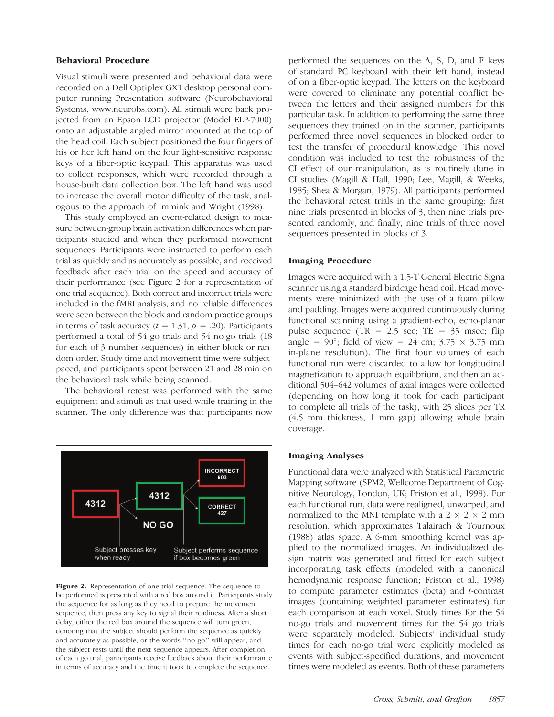#### Behavioral Procedure

Visual stimuli were presented and behavioral data were recorded on a Dell Optiplex GX1 desktop personal computer running Presentation software (Neurobehavioral Systems; www.neurobs.com). All stimuli were back projected from an Epson LCD projector (Model ELP-7000) onto an adjustable angled mirror mounted at the top of the head coil. Each subject positioned the four fingers of his or her left hand on the four light-sensitive response keys of a fiber-optic keypad. This apparatus was used to collect responses, which were recorded through a house-built data collection box. The left hand was used to increase the overall motor difficulty of the task, analogous to the approach of Immink and Wright (1998).

This study employed an event-related design to measure between-group brain activation differences when participants studied and when they performed movement sequences. Participants were instructed to perform each trial as quickly and as accurately as possible, and received feedback after each trial on the speed and accuracy of their performance (see Figure 2 for a representation of one trial sequence). Both correct and incorrect trials were included in the fMRI analysis, and no reliable differences were seen between the block and random practice groups in terms of task accuracy ( $t = 1.31$ ,  $p = .20$ ). Participants performed a total of 54 go trials and 54 no-go trials (18 for each of 3 number sequences) in either block or random order. Study time and movement time were subjectpaced, and participants spent between 21 and 28 min on the behavioral task while being scanned.

The behavioral retest was performed with the same equipment and stimuli as that used while training in the scanner. The only difference was that participants now



Figure 2. Representation of one trial sequence. The sequence to be performed is presented with a red box around it. Participants study the sequence for as long as they need to prepare the movement sequence, then press any key to signal their readiness. After a short delay, either the red box around the sequence will turn green, denoting that the subject should perform the sequence as quickly and accurately as possible, or the words ''no go'' will appear, and the subject rests until the next sequence appears. After completion of each go trial, participants receive feedback about their performance in terms of accuracy and the time it took to complete the sequence.

performed the sequences on the A, S, D, and F keys of standard PC keyboard with their left hand, instead of on a fiber-optic keypad. The letters on the keyboard were covered to eliminate any potential conflict between the letters and their assigned numbers for this particular task. In addition to performing the same three sequences they trained on in the scanner, participants performed three novel sequences in blocked order to test the transfer of procedural knowledge. This novel condition was included to test the robustness of the CI effect of our manipulation, as is routinely done in CI studies (Magill & Hall, 1990; Lee, Magill, & Weeks, 1985; Shea & Morgan, 1979). All participants performed the behavioral retest trials in the same grouping; first nine trials presented in blocks of 3, then nine trials presented randomly, and finally, nine trials of three novel sequences presented in blocks of 3.

#### Imaging Procedure

Images were acquired with a 1.5-T General Electric Signa scanner using a standard birdcage head coil. Head movements were minimized with the use of a foam pillow and padding. Images were acquired continuously during functional scanning using a gradient-echo, echo-planar pulse sequence (TR =  $2.5$  sec; TE =  $35$  msec; flip angle =  $90^\circ$ ; field of view = 24 cm; 3.75  $\times$  3.75 mm in-plane resolution). The first four volumes of each functional run were discarded to allow for longitudinal magnetization to approach equilibrium, and then an additional 504–642 volumes of axial images were collected (depending on how long it took for each participant to complete all trials of the task), with 25 slices per TR (4.5 mm thickness, 1 mm gap) allowing whole brain coverage.

#### Imaging Analyses

Functional data were analyzed with Statistical Parametric Mapping software (SPM2, Wellcome Department of Cognitive Neurology, London, UK; Friston et al., 1998). For each functional run, data were realigned, unwarped, and normalized to the MNI template with a  $2 \times 2 \times 2$  mm resolution, which approximates Talairach & Tournoux (1988) atlas space. A 6-mm smoothing kernel was applied to the normalized images. An individualized design matrix was generated and fitted for each subject incorporating task effects (modeled with a canonical hemodynamic response function; Friston et al., 1998) to compute parameter estimates (beta) and  $t$ -contrast images (containing weighted parameter estimates) for each comparison at each voxel. Study times for the 54 no-go trials and movement times for the 54 go trials were separately modeled. Subjects' individual study times for each no-go trial were explicitly modeled as events with subject-specified durations, and movement times were modeled as events. Both of these parameters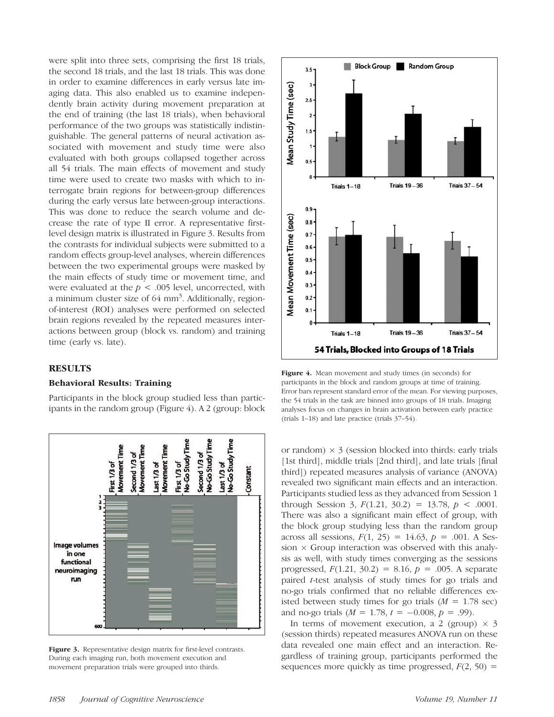were split into three sets, comprising the first 18 trials, the second 18 trials, and the last 18 trials. This was done in order to examine differences in early versus late imaging data. This also enabled us to examine independently brain activity during movement preparation at the end of training (the last 18 trials), when behavioral performance of the two groups was statistically indistinguishable. The general patterns of neural activation associated with movement and study time were also evaluated with both groups collapsed together across all 54 trials. The main effects of movement and study time were used to create two masks with which to interrogate brain regions for between-group differences during the early versus late between-group interactions. This was done to reduce the search volume and decrease the rate of type II error. A representative firstlevel design matrix is illustrated in Figure 3. Results from the contrasts for individual subjects were submitted to a random effects group-level analyses, wherein differences between the two experimental groups were masked by the main effects of study time or movement time, and were evaluated at the  $p < .005$  level, uncorrected, with a minimum cluster size of 64 mm<sup>3</sup>. Additionally, regionof-interest (ROI) analyses were performed on selected brain regions revealed by the repeated measures interactions between group (block vs. random) and training time (early vs. late).

## **RESULTS**

## Behavioral Results: Training

Participants in the block group studied less than participants in the random group (Figure 4). A 2 (group: block



Figure 3. Representative design matrix for first-level contrasts. During each imaging run, both movement execution and movement preparation trials were grouped into thirds.



Figure 4. Mean movement and study times (in seconds) for participants in the block and random groups at time of training. Error bars represent standard error of the mean. For viewing purposes, the 54 trials in the task are binned into groups of 18 trials. Imaging analyses focus on changes in brain activation between early practice (trials 1–18) and late practice (trials 37–54).

or random)  $\times$  3 (session blocked into thirds: early trials [1st third], middle trials [2nd third], and late trials [final] third]) repeated measures analysis of variance (ANOVA) revealed two significant main effects and an interaction. Participants studied less as they advanced from Session 1 through Session 3,  $F(1.21, 30.2) = 13.78, p < .0001$ . There was also a significant main effect of group, with the block group studying less than the random group across all sessions,  $F(1, 25) = 14.63$ ,  $p = .001$ . A Session  $\times$  Group interaction was observed with this analysis as well, with study times converging as the sessions progressed,  $F(1.21, 30.2) = 8.16, p = .005$ . A separate paired t-test analysis of study times for go trials and no-go trials confirmed that no reliable differences existed between study times for go trials  $(M = 1.78$  sec) and no-go trials  $(M = 1.78, t = -0.008, p = .99)$ .

In terms of movement execution, a 2 (group)  $\times$  3 (session thirds) repeated measures ANOVA run on these data revealed one main effect and an interaction. Regardless of training group, participants performed the sequences more quickly as time progressed,  $F(2, 50) =$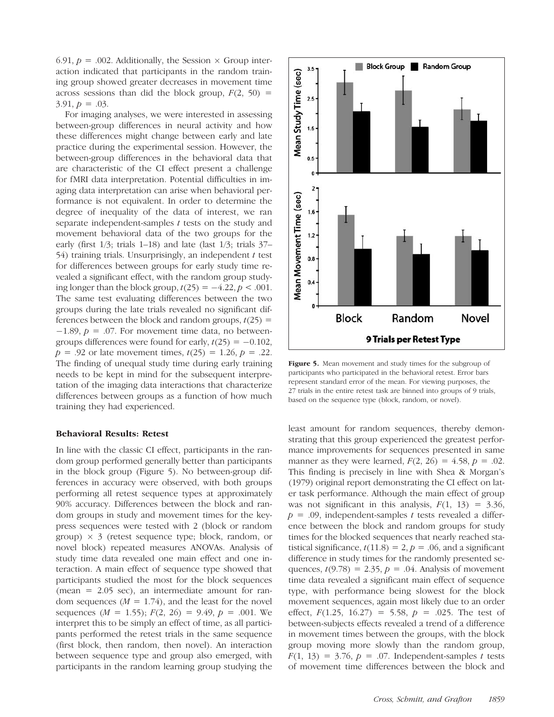6.91,  $p = .002$ . Additionally, the Session  $\times$  Group interaction indicated that participants in the random training group showed greater decreases in movement time across sessions than did the block group,  $F(2, 50) =$  $3.91, p = .03$ .

For imaging analyses, we were interested in assessing between-group differences in neural activity and how these differences might change between early and late practice during the experimental session. However, the between-group differences in the behavioral data that are characteristic of the CI effect present a challenge for fMRI data interpretation. Potential difficulties in imaging data interpretation can arise when behavioral performance is not equivalent. In order to determine the degree of inequality of the data of interest, we ran separate independent-samples  $t$  tests on the study and movement behavioral data of the two groups for the early (first 1/3; trials 1–18) and late (last 1/3; trials 37– 54) training trials. Unsurprisingly, an independent  $t$  test for differences between groups for early study time revealed a significant effect, with the random group studying longer than the block group,  $t(25) = -4.22$ ,  $p < .001$ . The same test evaluating differences between the two groups during the late trials revealed no significant differences between the block and random groups,  $t(25)$  =  $-1.89$ ,  $p = .07$ . For movement time data, no betweengroups differences were found for early,  $t(25) = -0.102$ ,  $p = .92$  or late movement times,  $t(25) = 1.26$ ,  $p = .22$ . The finding of unequal study time during early training needs to be kept in mind for the subsequent interpretation of the imaging data interactions that characterize differences between groups as a function of how much training they had experienced.

#### Behavioral Results: Retest

In line with the classic CI effect, participants in the random group performed generally better than participants in the block group (Figure 5). No between-group differences in accuracy were observed, with both groups performing all retest sequence types at approximately 90% accuracy. Differences between the block and random groups in study and movement times for the keypress sequences were tested with 2 (block or random group)  $\times$  3 (retest sequence type; block, random, or novel block) repeated measures ANOVAs. Analysis of study time data revealed one main effect and one interaction. A main effect of sequence type showed that participants studied the most for the block sequences  $(mean = 2.05 \text{ sec})$ , an intermediate amount for random sequences ( $M = 1.74$ ), and the least for the novel sequences ( $M = 1.55$ );  $F(2, 26) = 9.49$ ,  $p = .001$ . We interpret this to be simply an effect of time, as all participants performed the retest trials in the same sequence (first block, then random, then novel). An interaction between sequence type and group also emerged, with participants in the random learning group studying the



Figure 5. Mean movement and study times for the subgroup of participants who participated in the behavioral retest. Error bars represent standard error of the mean. For viewing purposes, the 27 trials in the entire retest task are binned into groups of 9 trials, based on the sequence type (block, random, or novel).

least amount for random sequences, thereby demonstrating that this group experienced the greatest performance improvements for sequences presented in same manner as they were learned,  $F(2, 26) = 4.58$ ,  $p = .02$ . This finding is precisely in line with Shea & Morgan's (1979) original report demonstrating the CI effect on later task performance. Although the main effect of group was not significant in this analysis,  $F(1, 13) = 3.36$ ,  $p = .09$ , independent-samples t tests revealed a difference between the block and random groups for study times for the blocked sequences that nearly reached statistical significance,  $t(11.8) = 2$ ,  $p = .06$ , and a significant difference in study times for the randomly presented sequences,  $t(9.78) = 2.35$ ,  $p = .04$ . Analysis of movement time data revealed a significant main effect of sequence type, with performance being slowest for the block movement sequences, again most likely due to an order effect,  $F(1.25, 16.27) = 5.58, p = .025$ . The test of between-subjects effects revealed a trend of a difference in movement times between the groups, with the block group moving more slowly than the random group,  $F(1, 13) = 3.76$ ,  $p = .07$ . Independent-samples t tests of movement time differences between the block and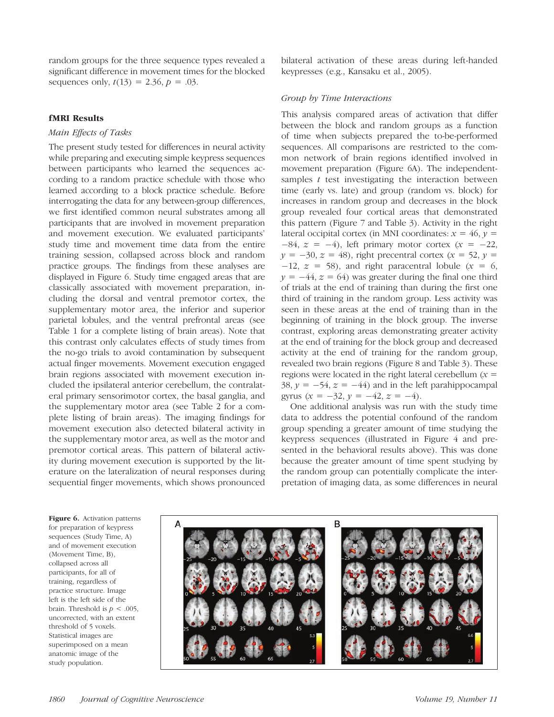random groups for the three sequence types revealed a significant difference in movement times for the blocked sequences only,  $t(13) = 2.36, p = .03$ .

## fMRI Results

## Main Effects of Tasks

The present study tested for differences in neural activity while preparing and executing simple keypress sequences between participants who learned the sequences according to a random practice schedule with those who learned according to a block practice schedule. Before interrogating the data for any between-group differences, we first identified common neural substrates among all participants that are involved in movement preparation and movement execution. We evaluated participants' study time and movement time data from the entire training session, collapsed across block and random practice groups. The findings from these analyses are displayed in Figure 6. Study time engaged areas that are classically associated with movement preparation, including the dorsal and ventral premotor cortex, the supplementary motor area, the inferior and superior parietal lobules, and the ventral prefrontal areas (see Table 1 for a complete listing of brain areas). Note that this contrast only calculates effects of study times from the no-go trials to avoid contamination by subsequent actual finger movements. Movement execution engaged brain regions associated with movement execution included the ipsilateral anterior cerebellum, the contralateral primary sensorimotor cortex, the basal ganglia, and the supplementary motor area (see Table 2 for a complete listing of brain areas). The imaging findings for movement execution also detected bilateral activity in the supplementary motor area, as well as the motor and premotor cortical areas. This pattern of bilateral activity during movement execution is supported by the literature on the lateralization of neural responses during sequential finger movements, which shows pronounced bilateral activation of these areas during left-handed keypresses (e.g., Kansaku et al., 2005).

## Group by Time Interactions

This analysis compared areas of activation that differ between the block and random groups as a function of time when subjects prepared the to-be-performed sequences. All comparisons are restricted to the common network of brain regions identified involved in movement preparation (Figure 6A). The independentsamples  $t$  test investigating the interaction between time (early vs. late) and group (random vs. block) for increases in random group and decreases in the block group revealed four cortical areas that demonstrated this pattern (Figure 7 and Table 3). Activity in the right lateral occipital cortex (in MNI coordinates:  $x = 46$ ,  $y =$  $-84$ ,  $z = -4$ ), left primary motor cortex ( $x = -22$ ,  $y = -30, z = 48$ , right precentral cortex  $(x = 52, y = 1)$  $-12$ ,  $z = 58$ ), and right paracentral lobule ( $x = 6$ ,  $y = -44$ ,  $z = 64$ ) was greater during the final one third of trials at the end of training than during the first one third of training in the random group. Less activity was seen in these areas at the end of training than in the beginning of training in the block group. The inverse contrast, exploring areas demonstrating greater activity at the end of training for the block group and decreased activity at the end of training for the random group, revealed two brain regions (Figure 8 and Table 3). These regions were located in the right lateral cerebellum  $(x =$  $38, y = -54, z = -44$  and in the left parahippocampal gyrus  $(x = -32, y = -42, z = -4)$ .

One additional analysis was run with the study time data to address the potential confound of the random group spending a greater amount of time studying the keypress sequences (illustrated in Figure 4 and presented in the behavioral results above). This was done because the greater amount of time spent studying by the random group can potentially complicate the interpretation of imaging data, as some differences in neural

Figure 6. Activation patterns for preparation of keypress sequences (Study Time, A) and of movement execution (Movement Time, B), collapsed across all participants, for all of training, regardless of practice structure. Image left is the left side of the brain. Threshold is  $p < .005$ , uncorrected, with an extent threshold of 5 voxels. Statistical images are superimposed on a mean anatomic image of the study population.

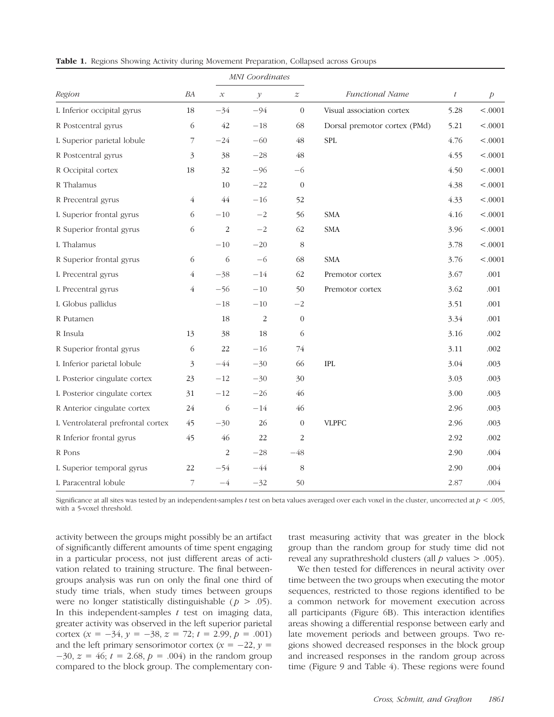|                                   |    | MNI Coordinates |               |                  |                              |                  |                  |
|-----------------------------------|----|-----------------|---------------|------------------|------------------------------|------------------|------------------|
| Region                            | BA | $\mathcal X$    | $\mathcal{Y}$ | $\boldsymbol{z}$ | Functional Name              | $\boldsymbol{t}$ | $\boldsymbol{p}$ |
| L Inferior occipital gyrus        | 18 | $-34$           | $-94$         | $\theta$         | Visual association cortex    | 5.28             | < .0001          |
| R Postcentral gyrus               | 6  | 42              | $-18\,$       | 68               | Dorsal premotor cortex (PMd) | 5.21             | < .0001          |
| L Superior parietal lobule        | 7  | $-24$           | $-60$         | 48               | <b>SPL</b>                   | 4.76             | < .0001          |
| R Postcentral gyrus               | 3  | 38              | $-28$         | 48               |                              | 4.55             | < .0001          |
| R Occipital cortex                | 18 | 32              | $-96$         | $-6$             |                              | 4.50             | < .0001          |
| R Thalamus                        |    | 10              | $-22$         | $\boldsymbol{0}$ |                              | 4.38             | < .0001          |
| R Precentral gyrus                | 4  | 44              | $-16$         | 52               |                              | 4.33             | < .0001          |
| L Superior frontal gyrus          | 6  | $-10$           | $-{\bf 2}$    | 56               | <b>SMA</b>                   | 4.16             | < .0001          |
| R Superior frontal gyrus          | 6  | $\overline{c}$  | $-{\bf 2}$    | 62               | <b>SMA</b>                   | 3.96             | < .0001          |
| L Thalamus                        |    | $-10$           | $-20$         | 8                |                              | 3.78             | < .0001          |
| R Superior frontal gyrus          | 6  | 6               | $-6$          | 68               | <b>SMA</b>                   | 3.76             | < .0001          |
| L Precentral gyrus                | 4  | $-38$           | $-14$         | 62               | Premotor cortex              | 3.67             | .001             |
| L Precentral gyrus                | 4  | $-56$           | $-10$         | 50               | Premotor cortex              | 3.62             | .001             |
| L Globus pallidus                 |    | $-18$           | $-10$         | $-2$             |                              | 3.51             | .001             |
| R Putamen                         |    | 18              | 2             | $\boldsymbol{0}$ |                              | 3.34             | .001             |
| R Insula                          | 13 | 38              | 18            | 6                |                              | 3.16             | .002             |
| R Superior frontal gyrus          | 6  | 22              | $-16$         | 74               |                              | 3.11             | .002             |
| L Inferior parietal lobule        | 3  | $-44$           | $-30$         | 66               | <b>IPL</b>                   | 3.04             | .003             |
| L Posterior cingulate cortex      | 23 | $-12$           | $-30$         | 30               |                              | 3.03             | .003             |
| L Posterior cingulate cortex      | 31 | $-12$           | $-26$         | 46               |                              | 3.00             | .003             |
| R Anterior cingulate cortex       | 24 | 6               | $-14$         | 46               |                              | 2.96             | .003             |
| L Ventrolateral prefrontal cortex | 45 | $-30$           | 26            | $\boldsymbol{0}$ | <b>VLPFC</b>                 | 2.96             | .003             |
| R Inferior frontal gyrus          | 45 | 46              | 22            | 2                |                              | 2.92             | .002             |
| R Pons                            |    | $\overline{2}$  | $-28$         | $-48$            |                              | 2.90             | .004             |
| L Superior temporal gyrus         | 22 | $-54$           | $-44$         | $\,8\,$          |                              | 2.90             | .004             |
| L Paracentral lobule              | 7  | $-4$            | $-32$         | 50               |                              | 2.87             | .004             |

Table 1. Regions Showing Activity during Movement Preparation, Collapsed across Groups

Significance at all sites was tested by an independent-samples t test on beta values averaged over each voxel in the cluster, uncorrected at  $p < .005$ , with a 5-voxel threshold.

activity between the groups might possibly be an artifact of significantly different amounts of time spent engaging in a particular process, not just different areas of activation related to training structure. The final betweengroups analysis was run on only the final one third of study time trials, when study times between groups were no longer statistically distinguishable ( $p > .05$ ). In this independent-samples  $t$  test on imaging data, greater activity was observed in the left superior parietal cortex  $(x = -34, y = -38, z = 72; t = 2.99, p = .001)$ and the left primary sensorimotor cortex  $(x = -22, y =$  $-30$ ,  $z = 46$ ;  $t = 2.68$ ,  $p = .004$ ) in the random group compared to the block group. The complementary contrast measuring activity that was greater in the block group than the random group for study time did not reveal any suprathreshold clusters (all  $p$  values  $> .005$ ).

We then tested for differences in neural activity over time between the two groups when executing the motor sequences, restricted to those regions identified to be a common network for movement execution across all participants (Figure 6B). This interaction identifies areas showing a differential response between early and late movement periods and between groups. Two regions showed decreased responses in the block group and increased responses in the random group across time (Figure 9 and Table 4). These regions were found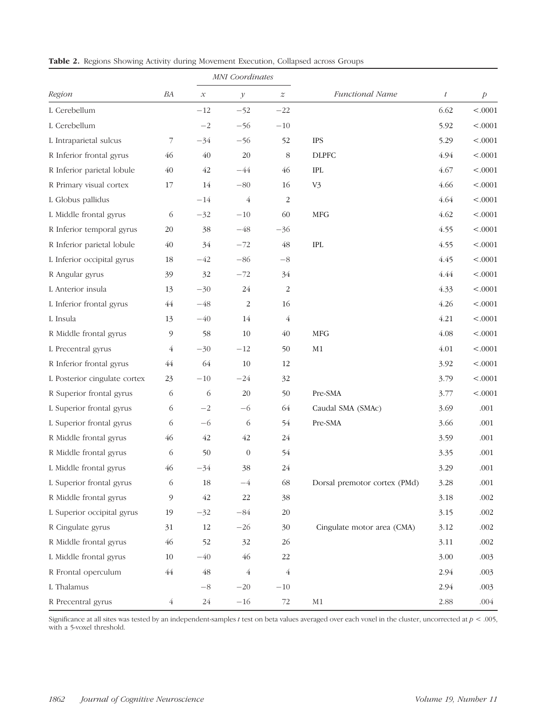|  |  |  |  |  |  |  | Table 2. Regions Showing Activity during Movement Execution, Collapsed across Groups |  |
|--|--|--|--|--|--|--|--------------------------------------------------------------------------------------|--|
|--|--|--|--|--|--|--|--------------------------------------------------------------------------------------|--|

|                              |                | <b>MNI</b> Coordinates |                  |                  |                              |                  |                  |
|------------------------------|----------------|------------------------|------------------|------------------|------------------------------|------------------|------------------|
| Region                       | BA             | $\mathcal X$           | $\mathcal{Y}$    | $\boldsymbol{z}$ | Functional Name              | $\boldsymbol{t}$ | $\boldsymbol{p}$ |
| L Cerebellum                 |                | $-12$                  | $-52$            | $-22$            |                              | 6.62             | < .0001          |
| L Cerebellum                 |                | $-2$                   | $-56$            | $-10$            |                              | 5.92             | < .0001          |
| L Intraparietal sulcus       | 7              | $-34$                  | $-56$            | 52               | <b>IPS</b>                   | 5.29             | < .0001          |
| R Inferior frontal gyrus     | 46             | 40                     | 20               | 8                | <b>DLPFC</b>                 | 4.94             | < .0001          |
| R Inferior parietal lobule   | 40             | 42                     | $-44$            | 46               | <b>IPL</b>                   | 4.67             | < .0001          |
| R Primary visual cortex      | 17             | 14                     | $-80$            | 16               | V <sub>3</sub>               | 4.66             | < .0001          |
| L Globus pallidus            |                | $-14$                  | $\overline{4}$   | 2                |                              | 4.64             | < .0001          |
| L Middle frontal gyrus       | 6              | $-32$                  | $-10$            | 60               | <b>MFG</b>                   | 4.62             | < .0001          |
| R Inferior temporal gyrus    | 20             | 38                     | $-48$            | $-36$            |                              | 4.55             | < .0001          |
| R Inferior parietal lobule   | 40             | 34                     | $-72$            | 48               | <b>IPL</b>                   | 4.55             | < .0001          |
| L Inferior occipital gyrus   | 18             | $-42$                  | $-86$            | $-8$             |                              | 4.45             | < .0001          |
| R Angular gyrus              | 39             | 32                     | $-72$            | 34               |                              | 4.44             | < .0001          |
| L Anterior insula            | 13             | $-30$                  | 24               | 2                |                              | 4.33             | < .0001          |
| L Inferior frontal gyrus     | 44             | $-48$                  | $\overline{2}$   | 16               |                              | 4.26             | < .0001          |
| L Insula                     | 13             | $-40$                  | 14               | $\overline{4}$   |                              | 4.21             | < .0001          |
| R Middle frontal gyrus       | 9              | 58                     | 10               | 40               | <b>MFG</b>                   | 4.08             | < .0001          |
| L Precentral gyrus           | 4              | $-30$                  | $-12$            | 50               | M1                           | 4.01             | < .0001          |
| R Inferior frontal gyrus     | 44             | 64                     | 10               | 12               |                              | 3.92             | < .0001          |
| L Posterior cingulate cortex | 23             | $-10$                  | $-24$            | 32               |                              | 3.79             | < .0001          |
| R Superior frontal gyrus     | 6              | 6                      | 20               | 50               | Pre-SMA                      | 3.77             | < .0001          |
| L Superior frontal gyrus     | 6              | $-2$                   | $-6$             | 64               | Caudal SMA (SMAc)            | 3.69             | .001             |
| L Superior frontal gyrus     | 6              | $-6$                   | 6                | 54               | Pre-SMA                      | 3.66             | .001             |
| R Middle frontal gyrus       | 46             | 42                     | 42               | 24               |                              | 3.59             | .001             |
| R Middle frontal gyrus       | 6              | 50                     | $\boldsymbol{0}$ | 54               |                              | 3.35             | .001             |
| L Middle frontal gyrus       | 46             | $-34$                  | 38               | 24               |                              | 3.29             | .001             |
| L Superior frontal gyrus     | 6              | 18                     | $-4$             | 68               | Dorsal premotor cortex (PMd) | 3.28             | $.001\,$         |
| R Middle frontal gyrus       | 9              | $42\,$                 | 22               | 38               |                              | 3.18             | .002             |
| L Superior occipital gyrus   | 19             | $-32$                  | $-84\,$          | 20               |                              | 3.15             | .002             |
| R Cingulate gyrus            | 31             | $12\,$                 | $-26$            | 30               | Cingulate motor area (CMA)   | 3.12             | .002             |
| R Middle frontal gyrus       | 46             | 52                     | 32               | 26               |                              | 3.11             | .002             |
| L Middle frontal gyrus       | 10             | $-40$                  | $46\,$           | $22\,$           |                              | 3.00             | .003             |
| R Frontal operculum          | $\sqrt{44}$    | 48                     | $\overline{4}$   | $\overline{4}$   |                              | 2.94             | .003             |
| L Thalamus                   |                | $-8\,$                 | $-20$            | $-10\,$          |                              | 2.94             | .003             |
| R Precentral gyrus           | $\overline{4}$ | $24\,$                 | $-16$            | $72\,$           | M1                           | $2.88\,$         | .004             |

Significance at all sites was tested by an independent-samples t test on beta values averaged over each voxel in the cluster, uncorrected at  $p < .005$ , with a 5-voxel threshold.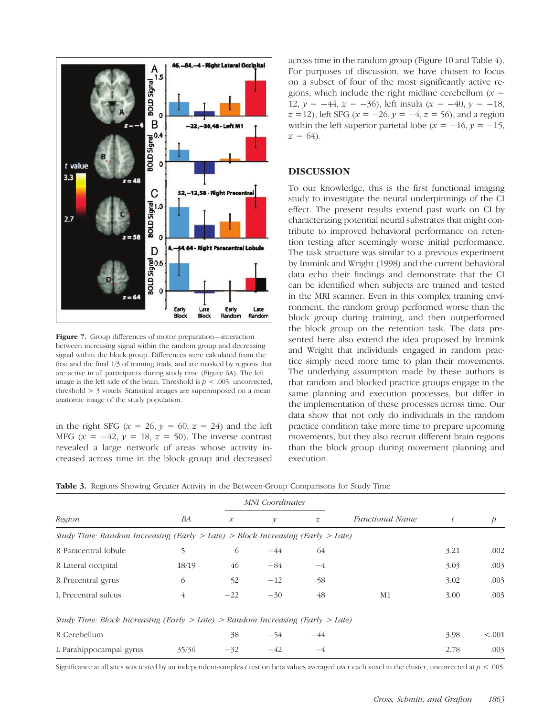

Figure 7. Group differences of motor preparation—interaction between increasing signal within the random group and decreasing signal within the block group. Differences were calculated from the first and the final 1/3 of training trials, and are masked by regions that are active in all participants during study time (Figure 6A). The left image is the left side of the brain. Threshold is  $p < .005$ , uncorrected, threshold > 3 voxels. Statistical images are superimposed on a mean anatomic image of the study population.

in the right SFG  $(x = 26, y = 60, z = 24)$  and the left MFG  $(x = -42, y = 18, z = 50)$ . The inverse contrast revealed a large network of areas whose activity increased across time in the block group and decreased across time in the random group (Figure 10 and Table 4). For purposes of discussion, we have chosen to focus on a subset of four of the most significantly active regions, which include the right midline cerebellum  $(x =$ 12,  $y = -44$ ,  $z = -36$ ), left insula  $(x = -40, y = -18,$  $z = 12$ ), left SFG ( $x = -26$ ,  $y = -4$ ,  $z = 56$ ), and a region within the left superior parietal lobe ( $x = -16$ ,  $y = -15$ ,  $z = 64$ .

#### DISCUSSION

To our knowledge, this is the first functional imaging study to investigate the neural underpinnings of the CI effect. The present results extend past work on CI by characterizing potential neural substrates that might contribute to improved behavioral performance on retention testing after seemingly worse initial performance. The task structure was similar to a previous experiment by Immink and Wright (1998) and the current behavioral data echo their findings and demonstrate that the CI can be identified when subjects are trained and tested in the MRI scanner. Even in this complex training environment, the random group performed worse than the block group during training, and then outperformed the block group on the retention task. The data presented here also extend the idea proposed by Immink and Wright that individuals engaged in random practice simply need more time to plan their movements. The underlying assumption made by these authors is that random and blocked practice groups engage in the same planning and execution processes, but differ in the implementation of these processes across time. Our data show that not only do individuals in the random practice condition take more time to prepare upcoming movements, but they also recruit different brain regions than the block group during movement planning and execution.

|                                                                                      |       |               | <b>MNI</b> Coordinates |                  |                        | $\boldsymbol{t}$ |         |
|--------------------------------------------------------------------------------------|-------|---------------|------------------------|------------------|------------------------|------------------|---------|
| Region                                                                               | BA    | $\mathcal{X}$ | $\mathcal{Y}$          | $\boldsymbol{z}$ | <b>Functional Name</b> |                  | Þ       |
| Study Time: Random Increasing (Early $>$ Late) $>$ Block Increasing (Early $>$ Late) |       |               |                        |                  |                        |                  |         |
| R Paracentral lobule                                                                 | 5     | 6             | $-44$                  | 64               |                        | 3.21             | .002    |
| R Lateral occipital                                                                  | 18/19 | 46            | $-84$                  | $-4$             |                        | 3.03             | .003    |
| R Precentral gyrus                                                                   | 6     | 52            | $-12$                  | 58               |                        | 3.02             | .003    |
| L Precentral sulcus                                                                  | 4     | $-22$         | $-30$                  | 48               | M1                     | 3.00             | .003    |
| Study Time: Block Increasing (Early $>$ Late) $>$ Random Increasing (Early $>$ Late) |       |               |                        |                  |                        |                  |         |
| R Cerebellum                                                                         |       | 38            | $-54$                  | $-44$            |                        | 3.98             | < 0.001 |
| L Parahippocampal gyrus                                                              | 35/36 | $-32$         | $-42$                  | $-4$             |                        | 2.78             | .003    |

Table 3. Regions Showing Greater Activity in the Between-Group Comparisons for Study Time

Significance at all sites was tested by an independent-samples  $t$  test on beta values averaged over each voxel in the cluster, uncorrected at  $p < .005$ .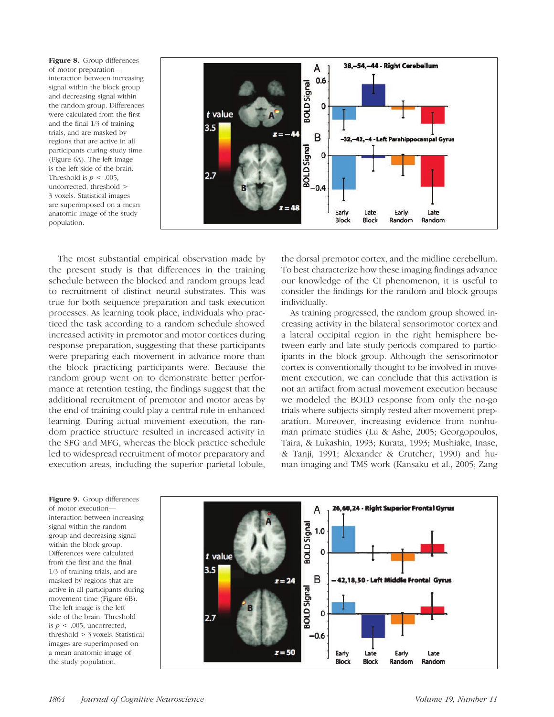Figure 8. Group differences of motor preparation interaction between increasing signal within the block group and decreasing signal within the random group. Differences were calculated from the first and the final 1/3 of training trials, and are masked by regions that are active in all participants during study time (Figure 6A). The left image is the left side of the brain. Threshold is  $p < .005$ , uncorrected, threshold > 3 voxels. Statistical images are superimposed on a mean anatomic image of the study population.



The most substantial empirical observation made by the present study is that differences in the training schedule between the blocked and random groups lead to recruitment of distinct neural substrates. This was true for both sequence preparation and task execution processes. As learning took place, individuals who practiced the task according to a random schedule showed increased activity in premotor and motor cortices during response preparation, suggesting that these participants were preparing each movement in advance more than the block practicing participants were. Because the random group went on to demonstrate better performance at retention testing, the findings suggest that the additional recruitment of premotor and motor areas by the end of training could play a central role in enhanced learning. During actual movement execution, the random practice structure resulted in increased activity in the SFG and MFG, whereas the block practice schedule led to widespread recruitment of motor preparatory and execution areas, including the superior parietal lobule,

the dorsal premotor cortex, and the midline cerebellum. To best characterize how these imaging findings advance our knowledge of the CI phenomenon, it is useful to consider the findings for the random and block groups individually.

As training progressed, the random group showed increasing activity in the bilateral sensorimotor cortex and a lateral occipital region in the right hemisphere between early and late study periods compared to participants in the block group. Although the sensorimotor cortex is conventionally thought to be involved in movement execution, we can conclude that this activation is not an artifact from actual movement execution because we modeled the BOLD response from only the no-go trials where subjects simply rested after movement preparation. Moreover, increasing evidence from nonhuman primate studies (Lu & Ashe, 2005; Georgopoulos, Taira, & Lukashin, 1993; Kurata, 1993; Mushiake, Inase, & Tanji, 1991; Alexander & Crutcher, 1990) and human imaging and TMS work (Kansaku et al., 2005; Zang

Figure 9. Group differences of motor execution interaction between increasing signal within the random group and decreasing signal within the block group. Differences were calculated from the first and the final 1/3 of training trials, and are masked by regions that are active in all participants during movement time (Figure 6B). The left image is the left side of the brain. Threshold is  $p < .005$ , uncorrected, threshold > 3 voxels. Statistical images are superimposed on a mean anatomic image of the study population.

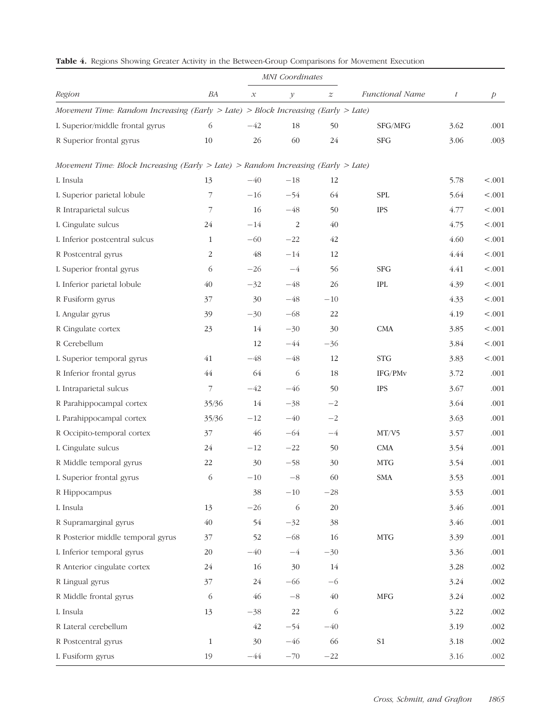|                                                                                         |              |              | MNI Coordinates |                  |                        |                  |                |
|-----------------------------------------------------------------------------------------|--------------|--------------|-----------------|------------------|------------------------|------------------|----------------|
| Region                                                                                  | BА           | $\mathcal X$ | $\mathcal{Y}$   | $\boldsymbol{z}$ | <b>Functional Name</b> | $\boldsymbol{t}$ | $\overline{p}$ |
| Movement Time: Random Increasing (Early $>$ Late) $>$ Block Increasing (Early $>$ Late) |              |              |                 |                  |                        |                  |                |
| L Superior/middle frontal gyrus                                                         | 6            | $-42$        | 18              | 50               | SFG/MFG                | 3.62             | .001           |
| R Superior frontal gyrus                                                                | 10           | 26           | 60              | 24               | <b>SFG</b>             | 3.06             | .003           |
| Movement Time: Block Increasing (Early $>$ Late) $>$ Random Increasing (Early $>$ Late) |              |              |                 |                  |                        |                  |                |
| L Insula                                                                                | 13           | $-40$        | $-18$           | 12               |                        | 5.78             | < .001         |
| L Superior parietal lobule                                                              | 7            | $-16$        | $-54$           | 64               | <b>SPL</b>             | 5.64             | < .001         |
| R Intraparietal sulcus                                                                  | 7            | 16           | $-48$           | 50               | <b>IPS</b>             | 4.77             | < .001         |
| L Cingulate sulcus                                                                      | 24           | $-14$        | $\overline{2}$  | 40               |                        | 4.75             | < .001         |
| L Inferior postcentral sulcus                                                           | $\mathbf{1}$ | $-60$        | $-22$           | 42               |                        | 4.60             | < .001         |
| R Postcentral gyrus                                                                     | 2            | 48           | $-14$           | 12               |                        | 4.44             | < .001         |
| L Superior frontal gyrus                                                                | 6            | $-26$        | $-4$            | 56               | <b>SFG</b>             | 4.41             | < .001         |
| L Inferior parietal lobule                                                              | 40           | $-32$        | $-48$           | 26               | <b>IPL</b>             | 4.39             | < .001         |
| R Fusiform gyrus                                                                        | 37           | 30           | $-48$           | $-10$            |                        | 4.33             | < .001         |
| L Angular gyrus                                                                         | 39           | $-30$        | $-68$           | 22               |                        | 4.19             | < .001         |
| R Cingulate cortex                                                                      | 23           | 14           | $-30$           | 30               | <b>CMA</b>             | 3.85             | < .001         |
| R Cerebellum                                                                            |              | 12           | $-44$           | $-36$            |                        | 3.84             | < .001         |
| L Superior temporal gyrus                                                               | 41           | $-48$        | $-48$           | 12               | <b>STG</b>             | 3.83             | < .001         |
| R Inferior frontal gyrus                                                                | 44           | 64           | 6               | 18               | IFG/PMv                | 3.72             | .001           |
| L Intraparietal sulcus                                                                  | 7            | $-42$        | $-46$           | 50               | <b>IPS</b>             | 3.67             | .001           |
| R Parahippocampal cortex                                                                | 35/36        | 14           | $-38$           | $-2$             |                        | 3.64             | .001           |
| L Parahippocampal cortex                                                                | 35/36        | $-12$        | $-40$           | $-2$             |                        | 3.63             | .001           |
| R Occipito-temporal cortex                                                              | 37           | 46           | $-64$           | $-4$             | MT/V5                  | 3.57             | .001           |
| L Cingulate sulcus                                                                      | 24           | $-12$        | $-22$           | 50               | CMA                    | 3.54             | .001           |
| R Middle temporal gyrus                                                                 | 22           | 30           | $-58$           | 30               | <b>MTG</b>             | 3.54             | .001           |
| L Superior frontal gyrus                                                                | $\sqrt{6}$   | $-10\,$      | $-8\,$          | 60               | $\operatorname{SMA}$   | 3.53             | $.001\,$       |
| R Hippocampus                                                                           |              | 38           | $-10\,$         | $-28$            |                        | 3.53             | .001           |
| L Insula                                                                                | 13           | $-26$        | 6               | 20               |                        | 3.46             | $.001\,$       |
| R Supramarginal gyrus                                                                   | 40           | 54           | $-32$           | 38               |                        | 3.46             | $.001$         |
| R Posterior middle temporal gyrus                                                       | 37           | 52           | $-68$           | $16\,$           | $\rm{MTG}$             | 3.39             | .001           |
| L Inferior temporal gyrus                                                               | 20           | $-40$        | $-4$            | $-30$            |                        | 3.36             | $.001\,$       |
| R Anterior cingulate cortex                                                             | 24           | 16           | 30              | $14\,$           |                        | 3.28             | .002           |
| R Lingual gyrus                                                                         | 37           | $24\,$       | $-66$           | $-6$             |                        | 3.24             | .002           |
| R Middle frontal gyrus                                                                  | 6            | 46           | $-8\,$          | 40               | <b>MFG</b>             | 3.24             | .002           |
| L Insula                                                                                | 13           | $-38$        | $22\,$          | 6                |                        | 3.22             | .002           |
| R Lateral cerebellum                                                                    |              | 42           | $-54$           | $-40$            |                        | 3.19             | .002           |
| R Postcentral gyrus                                                                     | $\mathbf{1}$ | 30           | $-46$           | 66               | $\sqrt{S}1$            | 3.18             | .002           |
| L Fusiform gyrus                                                                        | 19           | $-44$        | $-70$           | $-22$            |                        | 3.16             | .002           |

Table 4. Regions Showing Greater Activity in the Between-Group Comparisons for Movement Execution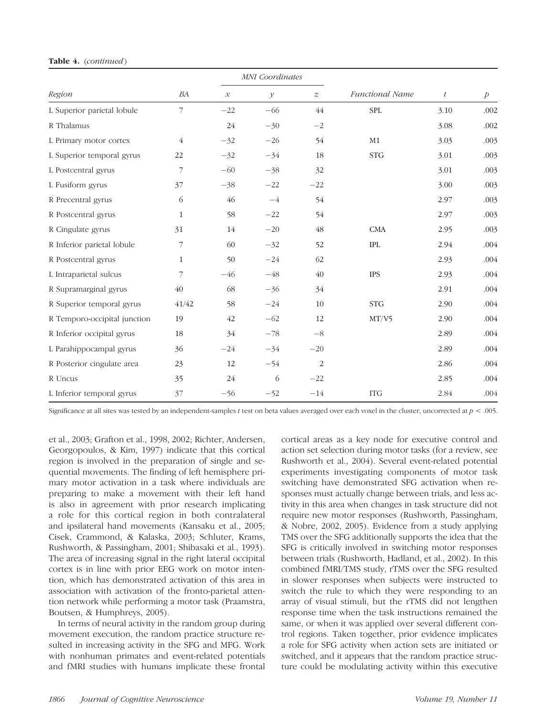| Table 4. (continued) |
|----------------------|
|                      |

|                              |              |                     | <b>MNI</b> Coordinates |                  |                        |                  |                |
|------------------------------|--------------|---------------------|------------------------|------------------|------------------------|------------------|----------------|
| Region                       | BA           | $\mathcal{X}% _{0}$ | $\mathcal{Y}$          | $\boldsymbol{z}$ | <b>Functional Name</b> | $\boldsymbol{t}$ | $\overline{p}$ |
| L Superior parietal lobule   | 7            | $-22$               | $-66$                  | 44               | <b>SPL</b>             | 3.10             | .002           |
| R Thalamus                   |              | 24                  | $-30$                  | $-2$             |                        | 3.08             | .002           |
| L Primary motor cortex       | 4            | $-32$               | $-26$                  | 54               | M1                     | 3.03             | .003           |
| L Superior temporal gyrus    | 22           | $-32$               | $-34$                  | 18               | <b>STG</b>             | 3.01             | .003           |
| L Postcentral gyrus          | 7            | $-60$               | $-38$                  | 32               |                        | 3.01             | .003           |
| L Fusiform gyrus             | 37           | $-38$               | $-22$                  | $-22$            |                        | 3.00             | .003           |
| R Precentral gyrus           | 6            | 46                  | $-4$                   | 54               |                        | 2.97             | .003           |
| R Postcentral gyrus          | $\mathbf{1}$ | 58                  | $-22$                  | 54               |                        | 2.97             | .003           |
| R Cingulate gyrus            | 31           | 14                  | $-20$                  | 48               | <b>CMA</b>             | 2.95             | .003           |
| R Inferior parietal lobule   | 7            | 60                  | $-32$                  | 52               | <b>IPL</b>             | 2.94             | .004           |
| R Postcentral gyrus          | $\mathbf{1}$ | 50                  | $-24$                  | 62               |                        | 2.93             | .004           |
| L Intraparietal sulcus       | 7            | $-46$               | $-48$                  | 40               | <b>IPS</b>             | 2.93             | .004           |
| R Supramarginal gyrus        | 40           | 68                  | $-36$                  | 34               |                        | 2.91             | .004           |
| R Superior temporal gyrus    | 41/42        | 58                  | $-24$                  | 10               | <b>STG</b>             | 2.90             | .004           |
| R Temporo-occipital junction | 19           | 42                  | $-62$                  | 12               | MT/V5                  | 2.90             | .004           |
| R Inferior occipital gyrus   | 18           | 34                  | $-78$                  | $-8$             |                        | 2.89             | .004           |
| L Parahippocampal gyrus      | 36           | $-24$               | $-34$                  | $-20$            |                        | 2.89             | .004           |
| R Posterior cingulate area   | 23           | 12                  | $-54$                  | $\overline{2}$   |                        | 2.86             | .004           |
| R Uncus                      | 35           | 24                  | 6                      | $-22$            |                        | 2.85             | .004           |
| L Inferior temporal gyrus    | 37           | $-56$               | $-52$                  | $-14$            | <b>ITG</b>             | 2.84             | .004           |

Significance at all sites was tested by an independent-samples t test on beta values averaged over each voxel in the cluster, uncorrected at  $p < .005$ .

et al., 2003; Grafton et al., 1998, 2002; Richter, Andersen, Georgopoulos, & Kim, 1997) indicate that this cortical region is involved in the preparation of single and sequential movements. The finding of left hemisphere primary motor activation in a task where individuals are preparing to make a movement with their left hand is also in agreement with prior research implicating a role for this cortical region in both contralateral and ipsilateral hand movements (Kansaku et al., 2005; Cisek, Crammond, & Kalaska, 2003; Schluter, Krams, Rushworth, & Passingham, 2001; Shibasaki et al., 1993). The area of increasing signal in the right lateral occipital cortex is in line with prior EEG work on motor intention, which has demonstrated activation of this area in association with activation of the fronto-parietal attention network while performing a motor task (Praamstra, Boutsen, & Humphreys, 2005).

In terms of neural activity in the random group during movement execution, the random practice structure resulted in increasing activity in the SFG and MFG. Work with nonhuman primates and event-related potentials and fMRI studies with humans implicate these frontal cortical areas as a key node for executive control and action set selection during motor tasks (for a review, see Rushworth et al., 2004). Several event-related potential experiments investigating components of motor task switching have demonstrated SFG activation when responses must actually change between trials, and less activity in this area when changes in task structure did not require new motor responses (Rushworth, Passingham, & Nobre, 2002, 2005). Evidence from a study applying TMS over the SFG additionally supports the idea that the SFG is critically involved in switching motor responses between trials (Rushworth, Hadland, et al., 2002). In this combined fMRI/TMS study, rTMS over the SFG resulted in slower responses when subjects were instructed to switch the rule to which they were responding to an array of visual stimuli, but the rTMS did not lengthen response time when the task instructions remained the same, or when it was applied over several different control regions. Taken together, prior evidence implicates a role for SFG activity when action sets are initiated or switched, and it appears that the random practice structure could be modulating activity within this executive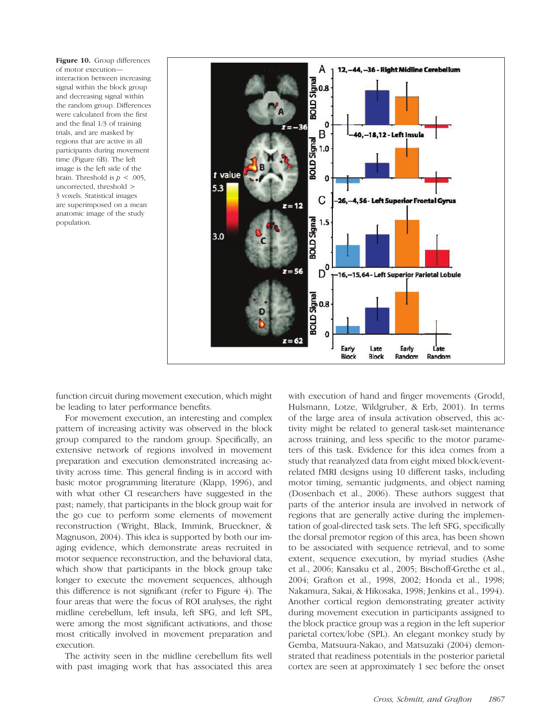Figure 10. Group differences of motor execution interaction between increasing signal within the block group and decreasing signal within the random group. Differences were calculated from the first and the final 1/3 of training trials, and are masked by regions that are active in all participants during movement time (Figure 6B). The left image is the left side of the brain. Threshold is  $p < .005$ , uncorrected, threshold > 3 voxels. Statistical images are superimposed on a mean anatomic image of the study population.



function circuit during movement execution, which might be leading to later performance benefits.

For movement execution, an interesting and complex pattern of increasing activity was observed in the block group compared to the random group. Specifically, an extensive network of regions involved in movement preparation and execution demonstrated increasing activity across time. This general finding is in accord with basic motor programming literature (Klapp, 1996), and with what other CI researchers have suggested in the past; namely, that participants in the block group wait for the go cue to perform some elements of movement reconstruction (Wright, Black, Immink, Brueckner, & Magnuson, 2004). This idea is supported by both our imaging evidence, which demonstrate areas recruited in motor sequence reconstruction, and the behavioral data, which show that participants in the block group take longer to execute the movement sequences, although this difference is not significant (refer to Figure 4). The four areas that were the focus of ROI analyses, the right midline cerebellum, left insula, left SFG, and left SPL, were among the most significant activations, and those most critically involved in movement preparation and execution.

The activity seen in the midline cerebellum fits well with past imaging work that has associated this area with execution of hand and finger movements (Grodd, Hulsmann, Lotze, Wildgruber, & Erb, 2001). In terms of the large area of insula activation observed, this activity might be related to general task-set maintenance across training, and less specific to the motor parameters of this task. Evidence for this idea comes from a study that reanalyzed data from eight mixed block/eventrelated fMRI designs using 10 different tasks, including motor timing, semantic judgments, and object naming (Dosenbach et al., 2006). These authors suggest that parts of the anterior insula are involved in network of regions that are generally active during the implementation of goal-directed task sets. The left SFG, specifically the dorsal premotor region of this area, has been shown to be associated with sequence retrieval, and to some extent, sequence execution, by myriad studies (Ashe et al., 2006; Kansaku et al., 2005; Bischoff-Grethe et al., 2004; Grafton et al., 1998, 2002; Honda et al., 1998; Nakamura, Sakai, & Hikosaka, 1998; Jenkins et al., 1994). Another cortical region demonstrating greater activity during movement execution in participants assigned to the block practice group was a region in the left superior parietal cortex/lobe (SPL). An elegant monkey study by Gemba, Matsuura-Nakao, and Matsuzaki (2004) demonstrated that readiness potentials in the posterior parietal cortex are seen at approximately 1 sec before the onset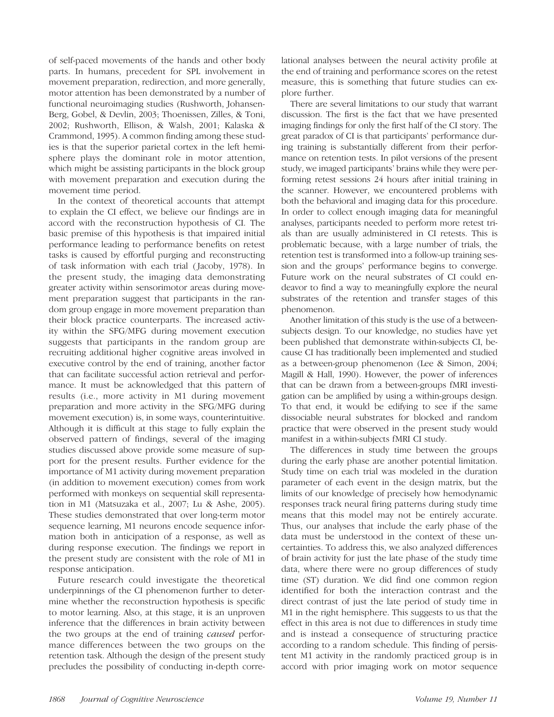of self-paced movements of the hands and other body parts. In humans, precedent for SPL involvement in movement preparation, redirection, and more generally, motor attention has been demonstrated by a number of functional neuroimaging studies (Rushworth, Johansen-Berg, Gobel, & Devlin, 2003; Thoenissen, Zilles, & Toni, 2002; Rushworth, Ellison, & Walsh, 2001; Kalaska & Crammond, 1995). A common finding among these studies is that the superior parietal cortex in the left hemisphere plays the dominant role in motor attention, which might be assisting participants in the block group with movement preparation and execution during the movement time period.

In the context of theoretical accounts that attempt to explain the CI effect, we believe our findings are in accord with the reconstruction hypothesis of CI. The basic premise of this hypothesis is that impaired initial performance leading to performance benefits on retest tasks is caused by effortful purging and reconstructing of task information with each trial ( Jacoby, 1978). In the present study, the imaging data demonstrating greater activity within sensorimotor areas during movement preparation suggest that participants in the random group engage in more movement preparation than their block practice counterparts. The increased activity within the SFG/MFG during movement execution suggests that participants in the random group are recruiting additional higher cognitive areas involved in executive control by the end of training, another factor that can facilitate successful action retrieval and performance. It must be acknowledged that this pattern of results (i.e., more activity in M1 during movement preparation and more activity in the SFG/MFG during movement execution) is, in some ways, counterintuitive. Although it is difficult at this stage to fully explain the observed pattern of findings, several of the imaging studies discussed above provide some measure of support for the present results. Further evidence for the importance of M1 activity during movement preparation (in addition to movement execution) comes from work performed with monkeys on sequential skill representation in M1 (Matsuzaka et al., 2007; Lu & Ashe, 2005). These studies demonstrated that over long-term motor sequence learning, M1 neurons encode sequence information both in anticipation of a response, as well as during response execution. The findings we report in the present study are consistent with the role of M1 in response anticipation.

Future research could investigate the theoretical underpinnings of the CI phenomenon further to determine whether the reconstruction hypothesis is specific to motor learning. Also, at this stage, it is an unproven inference that the differences in brain activity between the two groups at the end of training caused performance differences between the two groups on the retention task. Although the design of the present study precludes the possibility of conducting in-depth correlational analyses between the neural activity profile at the end of training and performance scores on the retest measure, this is something that future studies can explore further.

There are several limitations to our study that warrant discussion. The first is the fact that we have presented imaging findings for only the first half of the CI story. The great paradox of CI is that participants' performance during training is substantially different from their performance on retention tests. In pilot versions of the present study, we imaged participants' brains while they were performing retest sessions 24 hours after initial training in the scanner. However, we encountered problems with both the behavioral and imaging data for this procedure. In order to collect enough imaging data for meaningful analyses, participants needed to perform more retest trials than are usually administered in CI retests. This is problematic because, with a large number of trials, the retention test is transformed into a follow-up training session and the groups' performance begins to converge. Future work on the neural substrates of CI could endeavor to find a way to meaningfully explore the neural substrates of the retention and transfer stages of this phenomenon.

Another limitation of this study is the use of a betweensubjects design. To our knowledge, no studies have yet been published that demonstrate within-subjects CI, because CI has traditionally been implemented and studied as a between-group phenomenon (Lee & Simon, 2004; Magill & Hall, 1990). However, the power of inferences that can be drawn from a between-groups fMRI investigation can be amplified by using a within-groups design. To that end, it would be edifying to see if the same dissociable neural substrates for blocked and random practice that were observed in the present study would manifest in a within-subjects fMRI CI study.

The differences in study time between the groups during the early phase are another potential limitation. Study time on each trial was modeled in the duration parameter of each event in the design matrix, but the limits of our knowledge of precisely how hemodynamic responses track neural firing patterns during study time means that this model may not be entirely accurate. Thus, our analyses that include the early phase of the data must be understood in the context of these uncertainties. To address this, we also analyzed differences of brain activity for just the late phase of the study time data, where there were no group differences of study time (ST) duration. We did find one common region identified for both the interaction contrast and the direct contrast of just the late period of study time in M1 in the right hemisphere. This suggests to us that the effect in this area is not due to differences in study time and is instead a consequence of structuring practice according to a random schedule. This finding of persistent M1 activity in the randomly practiced group is in accord with prior imaging work on motor sequence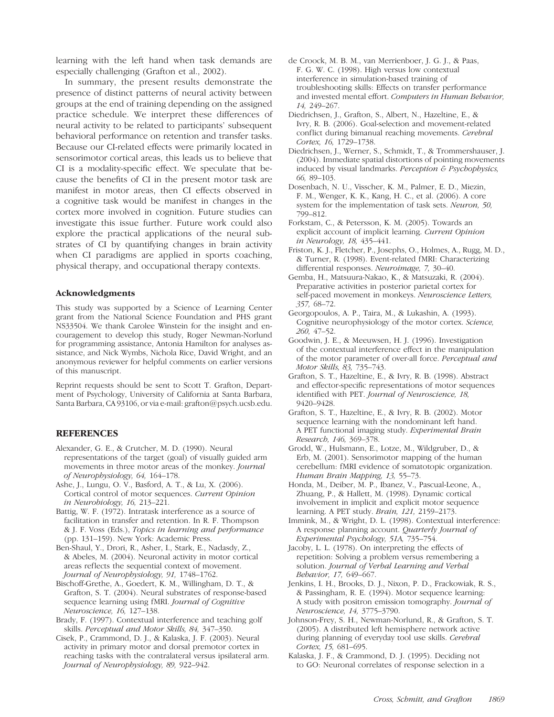learning with the left hand when task demands are especially challenging (Grafton et al., 2002).

In summary, the present results demonstrate the presence of distinct patterns of neural activity between groups at the end of training depending on the assigned practice schedule. We interpret these differences of neural activity to be related to participants' subsequent behavioral performance on retention and transfer tasks. Because our CI-related effects were primarily located in sensorimotor cortical areas, this leads us to believe that CI is a modality-specific effect. We speculate that because the benefits of CI in the present motor task are manifest in motor areas, then CI effects observed in a cognitive task would be manifest in changes in the cortex more involved in cognition. Future studies can investigate this issue further. Future work could also explore the practical applications of the neural substrates of CI by quantifying changes in brain activity when CI paradigms are applied in sports coaching, physical therapy, and occupational therapy contexts.

#### Acknowledgments

This study was supported by a Science of Learning Center grant from the National Science Foundation and PHS grant NS33504. We thank Carolee Winstein for the insight and encouragement to develop this study, Roger Newman-Norlund for programming assistance, Antonia Hamilton for analyses assistance, and Nick Wymbs, Nichola Rice, David Wright, and an anonymous reviewer for helpful comments on earlier versions of this manuscript.

Reprint requests should be sent to Scott T. Grafton, Department of Psychology, University of California at Santa Barbara, Santa Barbara, CA 93106, or via e-mail: grafton@psych.ucsb.edu.

# **REFERENCES**

- Alexander, G. E., & Crutcher, M. D. (1990). Neural representations of the target (goal) of visually guided arm movements in three motor areas of the monkey. Journal of Neurophysiology, 64, 164–178.
- Ashe, J., Lungu, O. V., Basford, A. T., & Lu, X. (2006). Cortical control of motor sequences. Current Opinion in Neurobiology, 16, 213–221.
- Battig, W. F. (1972). Intratask interference as a source of facilitation in transfer and retention. In R. F. Thompson & J. F. Voss (Eds.), Topics in learning and performance (pp. 131–159). New York: Academic Press.
- Ben-Shaul, Y., Drori, R., Asher, I., Stark, E., Nadasdy, Z., & Abeles, M. (2004). Neuronal activity in motor cortical areas reflects the sequential context of movement. Journal of Neurophysiology, 91, 1748–1762.
- Bischoff-Grethe, A., Goedert, K. M., Willingham, D. T., & Grafton, S. T. (2004). Neural substrates of response-based sequence learning using fMRI. Journal of Cognitive Neuroscience, 16, 127–138.
- Brady, F. (1997). Contextual interference and teaching golf skills. Perceptual and Motor Skills, 84, 347–350.
- Cisek, P., Crammond, D. J., & Kalaska, J. F. (2003). Neural activity in primary motor and dorsal premotor cortex in reaching tasks with the contralateral versus ipsilateral arm. Journal of Neurophysiology, 89, 922–942.
- de Croock, M. B. M., van Merrienboer, J. G. J., & Paas, F. G. W. C. (1998). High versus low contextual interference in simulation-based training of troubleshooting skills: Effects on transfer performance and invested mental effort. Computers in Human Behavior, 14, 249–267.
- Diedrichsen, J., Grafton, S., Albert, N., Hazeltine, E., & Ivry, R. B. (2006). Goal-selection and movement-related conflict during bimanual reaching movements. Cerebral Cortex, 16, 1729–1738.
- Diedrichsen, J., Werner, S., Schmidt, T., & Trommershauser, J. (2004). Immediate spatial distortions of pointing movements induced by visual landmarks. Perception & Psychophysics, 66, 89–103.
- Dosenbach, N. U., Visscher, K. M., Palmer, E. D., Miezin, F. M., Wenger, K. K., Kang, H. C., et al. (2006). A core system for the implementation of task sets. Neuron, 50, 799–812.
- Forkstam, C., & Petersson, K. M. (2005). Towards an explicit account of implicit learning. Current Opinion in Neurology, 18, 435–441.
- Friston, K. J., Fletcher, P., Josephs, O., Holmes, A., Rugg, M. D., & Turner, R. (1998). Event-related fMRI: Characterizing differential responses. Neuroimage, 7, 30–40.
- Gemba, H., Matsuura-Nakao, K., & Matsuzaki, R. (2004). Preparative activities in posterior parietal cortex for self-paced movement in monkeys. Neuroscience Letters, 357, 68–72.
- Georgopoulos, A. P., Taira, M., & Lukashin, A. (1993). Cognitive neurophysiology of the motor cortex. Science, 260, 47–52.
- Goodwin, J. E., & Meeuwsen, H. J. (1996). Investigation of the contextual interference effect in the manipulation of the motor parameter of over-all force. Perceptual and Motor Skills, 83, 735–743.
- Grafton, S. T., Hazeltine, E., & Ivry, R. B. (1998). Abstract and effector-specific representations of motor sequences identified with PET. Journal of Neuroscience, 18, 9420–9428.
- Grafton, S. T., Hazeltine, E., & Ivry, R. B. (2002). Motor sequence learning with the nondominant left hand. A PET functional imaging study. Experimental Brain Research, 146, 369–378.
- Grodd, W., Hulsmann, E., Lotze, M., Wildgruber, D., & Erb, M. (2001). Sensorimotor mapping of the human cerebellum: fMRI evidence of somatotopic organization. Human Brain Mapping, 13, 55–73.
- Honda, M., Deiber, M. P., Ibanez, V., Pascual-Leone, A., Zhuang, P., & Hallett, M. (1998). Dynamic cortical involvement in implicit and explicit motor sequence learning. A PET study. Brain, 121, 2159–2173.
- Immink, M., & Wright, D. L. (1998). Contextual interference: A response planning account. Quarterly Journal of Experimental Psychology, 51A, 735–754.
- Jacoby, L. L. (1978). On interpreting the effects of repetition: Solving a problem versus remembering a solution. Journal of Verbal Learning and Verbal Behavior, 17, 649–667.
- Jenkins, I. H., Brooks, D. J., Nixon, P. D., Frackowiak, R. S., & Passingham, R. E. (1994). Motor sequence learning: A study with positron emission tomography. Journal of Neuroscience, 14, 3775–3790.
- Johnson-Frey, S. H., Newman-Norlund, R., & Grafton, S. T. (2005). A distributed left hemisphere network active during planning of everyday tool use skills. Cerebral Cortex, 15, 681–695.
- Kalaska, J. F., & Crammond, D. J. (1995). Deciding not to GO: Neuronal correlates of response selection in a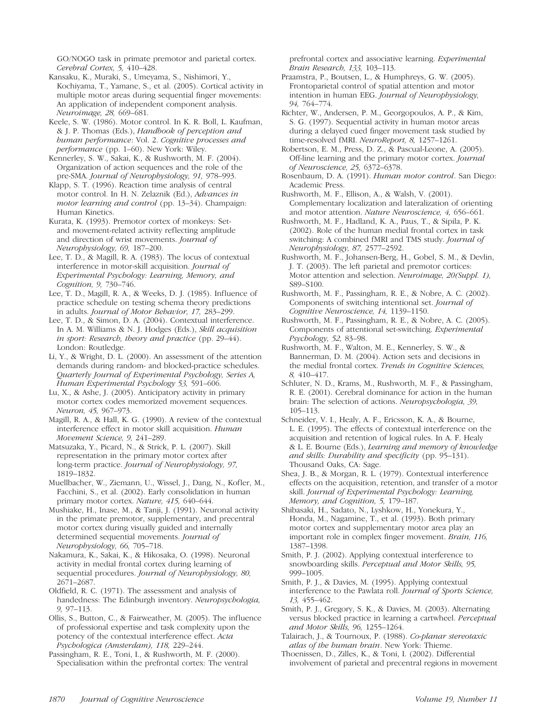GO/NOGO task in primate premotor and parietal cortex. Cerebral Cortex, 5, 410–428.

Kansaku, K., Muraki, S., Umeyama, S., Nishimori, Y., Kochiyama, T., Yamane, S., et al. (2005). Cortical activity in multiple motor areas during sequential finger movements: An application of independent component analysis. Neuroimage, 28, 669–681.

Keele, S. W. (1986). Motor control. In K. R. Boll, L. Kaufman, & J. P. Thomas (Eds.), Handbook of perception and human performance: Vol. 2. Cognitive processes and performance (pp. 1–60). New York: Wiley.

Kennerley, S. W., Sakai, K., & Rushworth, M. F. (2004). Organization of action sequences and the role of the pre-SMA. Journal of Neurophysiology, 91, 978-993.

Klapp, S. T. (1996). Reaction time analysis of central motor control. In H. N. Zelaznik (Ed.), Advances in motor learning and control (pp. 13-34). Champaign: Human Kinetics.

Kurata, K. (1993). Premotor cortex of monkeys: Setand movement-related activity reflecting amplitude and direction of wrist movements. Journal of Neurophysiology, 69, 187–200.

Lee, T. D., & Magill, R. A. (1983). The locus of contextual interference in motor-skill acquisition. Journal of Experimental Psychology: Learning, Memory, and Cognition, 9, 730–746.

Lee, T. D., Magill, R. A., & Weeks, D. J. (1985). Influence of practice schedule on testing schema theory predictions in adults. Journal of Motor Behavior, 17, 283–299.

Lee, T. D., & Simon, D. A. (2004). Contextual interference. In A. M. Williams & N. J. Hodges (Eds.), Skill acquisition in sport: Research, theory and practice (pp. 29–44). London: Routledge.

Li, Y., & Wright, D. L. (2000). An assessment of the attention demands during random- and blocked-practice schedules. Quarterly Journal of Experimental Psychology, Series A, Human Experimental Psychology 53, 591–606.

Lu, X., & Ashe, J. (2005). Anticipatory activity in primary motor cortex codes memorized movement sequences. Neuron, 45, 967–973.

Magill, R. A., & Hall, K. G. (1990). A review of the contextual interference effect in motor skill acquisition. Human Movement Science, 9, 241–289.

Matsuzaka, Y., Picard, N., & Strick, P. L. (2007). Skill representation in the primary motor cortex after long-term practice. Journal of Neurophysiology, 97, 1819–1832.

Muellbacher, W., Ziemann, U., Wissel, J., Dang, N., Kofler, M., Facchini, S., et al. (2002). Early consolidation in human primary motor cortex. Nature, 415, 640-644.

Mushiake, H., Inase, M., & Tanji, J. (1991). Neuronal activity in the primate premotor, supplementary, and precentral motor cortex during visually guided and internally determined sequential movements. Journal of Neurophysiology, 66, 705–718.

Nakamura, K., Sakai, K., & Hikosaka, O. (1998). Neuronal activity in medial frontal cortex during learning of sequential procedures. Journal of Neurophysiology, 80, 2671–2687.

Oldfield, R. C. (1971). The assessment and analysis of handedness: The Edinburgh inventory. Neuropsychologia, 9, 97–113.

Ollis, S., Button, C., & Fairweather, M. (2005). The influence of professional expertise and task complexity upon the potency of the contextual interference effect. Acta Psychologica (Amsterdam), 118, 229–244.

Passingham, R. E., Toni, I., & Rushworth, M. F. (2000). Specialisation within the prefrontal cortex: The ventral prefrontal cortex and associative learning. Experimental Brain Research, 133, 103–113.

Praamstra, P., Boutsen, L., & Humphreys, G. W. (2005). Frontoparietal control of spatial attention and motor intention in human EEG. Journal of Neurophysiology, 94, 764–774.

Richter, W., Andersen, P. M., Georgopoulos, A. P., & Kim, S. G. (1997). Sequential activity in human motor areas during a delayed cued finger movement task studied by time-resolved fMRI. NeuroReport, 8, 1257–1261.

Robertson, E. M., Press, D. Z., & Pascual-Leone, A. (2005). Off-line learning and the primary motor cortex. Journal of Neuroscience, 25, 6372–6378.

Rosenbaum, D. A. (1991). Human motor control. San Diego: Academic Press.

Rushworth, M. F., Ellison, A., & Walsh, V. (2001). Complementary localization and lateralization of orienting and motor attention. Nature Neuroscience, 4, 656–661.

Rushworth, M. F., Hadland, K. A., Paus, T., & Sipila, P. K. (2002). Role of the human medial frontal cortex in task switching: A combined fMRI and TMS study. Journal of Neurophysiology, 87, 2577–2592.

Rushworth, M. F., Johansen-Berg, H., Gobel, S. M., & Devlin, J. T. (2003). The left parietal and premotor cortices: Motor attention and selection. Neuroimage, 20(Suppl. 1), S89–S100.

Rushworth, M. F., Passingham, R. E., & Nobre, A. C. (2002). Components of switching intentional set. Journal of Cognitive Neuroscience, 14, 1139–1150.

Rushworth, M. F., Passingham, R. E., & Nobre, A. C. (2005). Components of attentional set-switching. Experimental Psychology, 52, 83–98.

Rushworth, M. F., Walton, M. E., Kennerley, S. W., & Bannerman, D. M. (2004). Action sets and decisions in the medial frontal cortex. Trends in Cognitive Sciences, 8, 410–417.

Schluter, N. D., Krams, M., Rushworth, M. F., & Passingham, R. E. (2001). Cerebral dominance for action in the human brain: The selection of actions. Neuropsychologia, 39, 105–113.

Schneider, V. I., Healy, A. F., Ericsson, K. A., & Bourne, L. E. (1995). The effects of contextual interference on the acquisition and retention of logical rules. In A. F. Healy & L. E. Bourne (Eds.), Learning and memory of knowledge and skills: Durability and specificity (pp. 95–131). Thousand Oaks, CA: Sage.

Shea, J. B., & Morgan, R. L. (1979). Contextual interference effects on the acquisition, retention, and transfer of a motor skill. Journal of Experimental Psychology: Learning, Memory, and Cognition, 5, 179–187.

Shibasaki, H., Sadato, N., Lyshkow, H., Yonekura, Y., Honda, M., Nagamine, T., et al. (1993). Both primary motor cortex and supplementary motor area play an important role in complex finger movement. Brain, 116, 1387–1398.

Smith, P. J. (2002). Applying contextual interference to snowboarding skills. Perceptual and Motor Skills, 95, 999–1005.

Smith, P. J., & Davies, M. (1995). Applying contextual interference to the Pawlata roll. Journal of Sports Science, 13, 455–462.

Smith, P. J., Gregory, S. K., & Davies, M. (2003). Alternating versus blocked practice in learning a cartwheel. Perceptual and Motor Skills, 96, 1255–1264.

Talairach, J., & Tournoux, P. (1988). Co-planar stereotaxic atlas of the human brain. New York: Thieme.

Thoenissen, D., Zilles, K., & Toni, I. (2002). Differential involvement of parietal and precentral regions in movement